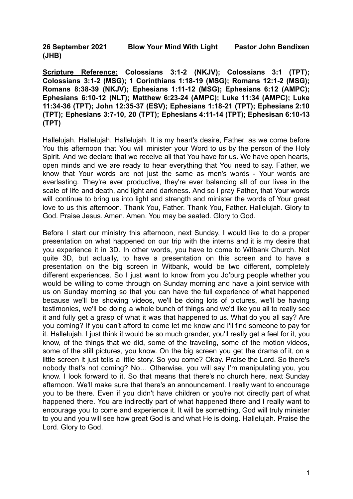**26 September 2021 Blow Your Mind With Light Pastor John Bendixen (JHB)**

**Scripture Reference: Colossians 3:1-2 (NKJV); Colossians 3:1 (TPT); Colossians 3:1-2 (MSG); 1 Corinthians 1:18-19 (MSG); Romans 12:1-2 (MSG); Romans 8:38-39 (NKJV); Ephesians 1:11-12 (MSG); Ephesians 6:12 (AMPC); Ephesians 6:10-12 (NLT); Matthew 6:23-24 (AMPC); Luke 11:34 (AMPC); Luke 11:34-36 (TPT); John 12:35-37 (ESV); Ephesians 1:18-21 (TPT); Ephesians 2:10 (TPT); Ephesians 3:7-10, 20 (TPT); Ephesians 4:11-14 (TPT); Ephesisan 6:10-13 (TPT)**

Hallelujah. Hallelujah. Hallelujah. It is my heart's desire, Father, as we come before You this afternoon that You will minister your Word to us by the person of the Holy Spirit. And we declare that we receive all that You have for us. We have open hearts, open minds and we are ready to hear everything that You need to say. Father, we know that Your words are not just the same as men's words - Your words are everlasting. They're ever productive, they're ever balancing all of our lives in the scale of life and death, and light and darkness. And so I pray Father, that Your words will continue to bring us into light and strength and minister the words of Your great love to us this afternoon. Thank You, Father. Thank You, Father. Hallelujah. Glory to God. Praise Jesus. Amen. Amen. You may be seated. Glory to God.

Before I start our ministry this afternoon, next Sunday, I would like to do a proper presentation on what happened on our trip with the interns and it is my desire that you experience it in 3D. In other words, you have to come to Witbank Church. Not quite 3D, but actually, to have a presentation on this screen and to have a presentation on the big screen in Witbank, would be two different, completely different experiences. So I just want to know from you Jo'burg people whether you would be willing to come through on Sunday morning and have a joint service with us on Sunday morning so that you can have the full experience of what happened because we'll be showing videos, we'll be doing lots of pictures, we'll be having testimonies, we'll be doing a whole bunch of things and we'd like you all to really see it and fully get a grasp of what it was that happened to us. What do you all say? Are you coming? If you can't afford to come let me know and I'll find someone to pay for it. Hallelujah. I just think it would be so much grander, you'll really get a feel for it, you know, of the things that we did, some of the traveling, some of the motion videos, some of the still pictures, you know. On the big screen you get the drama of it, on a little screen it just tells a little story. So you come? Okay. Praise the Lord. So there's nobody that's not coming? No… Otherwise, you will say I'm manipulating you, you know. I look forward to it. So that means that there's no church here, next Sunday afternoon. We'll make sure that there's an announcement. I really want to encourage you to be there. Even if you didn't have children or you're not directly part of what happened there. You are indirectly part of what happened there and I really want to encourage you to come and experience it. It will be something, God will truly minister to you and you will see how great God is and what He is doing. Hallelujah. Praise the Lord. Glory to God.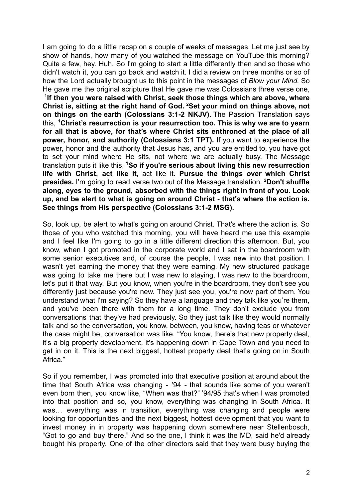I am going to do a little recap on a couple of weeks of messages. Let me just see by show of hands, how many of you watched the message on YouTube this morning? Quite a few, hey. Huh. So I'm going to start a little differently then and so those who didn't watch it, you can go back and watch it. I did a review on three months or so of how the Lord actually brought us to this point in the messages of *Blow your Mind.* So He gave me the original scripture that He gave me was Colossians three verse one, **1 If then you were raised with Christ, seek those things which are above, where Christ is, sitting at the right hand of God. <sup>2</sup>Set your mind on things above, not on things on the earth (Colossians 3:1-2 NKJV).** The Passion Translation says this, **<sup>1</sup>Christ's resurrection is your resurrection too. This is why we are to yearn for all that is above, for that's where Christ sits enthroned at the place of all power, honor, and authority (Colossians 3:1 TPT).** If you want to experience the power, honor and the authority that Jesus has, and you are entitled to, you have got to set your mind where He sits, not where we are actually busy. The Message translation puts it like this, **<sup>1</sup>So if you're serious about living this new resurrection life with Christ, act like it,** act like it. **Pursue the things over which Christ presides.** I'm going to read verse two out of the Message translation. **<sup>2</sup>Don't shuffle along, eyes to the ground, absorbed with the things right in front of you. Look up, and be alert to what is going on around Christ - that's where the action is. See things from His perspective (Colossians 3:1-2 MSG).**

So, look up, be alert to what's going on around Christ. That's where the action is. So those of you who watched this morning, you will have heard me use this example and I feel like I'm going to go in a little different direction this afternoon. But, you know, when I got promoted in the corporate world and I sat in the boardroom with some senior executives and, of course the people, I was new into that position. I wasn't yet earning the money that they were earning. My new structured package was going to take me there but I was new to staying, I was new to the boardroom, let's put it that way. But you know, when you're in the boardroom, they don't see you differently just because you're new. They just see you, you're now part of them. You understand what I'm saying? So they have a language and they talk like you're them, and you've been there with them for a long time. They don't exclude you from conversations that they've had previously. So they just talk like they would normally talk and so the conversation, you know, between, you know, having teas or whatever the case might be, conversation was like, "You know, there's that new property deal, it's a big property development, it's happening down in Cape Town and you need to get in on it. This is the next biggest, hottest property deal that's going on in South Africa."

So if you remember, I was promoted into that executive position at around about the time that South Africa was changing - '94 - that sounds like some of you weren't even born then, you know like, "When was that?" '94/95 that's when I was promoted into that position and so, you know, everything was changing in South Africa. It was… everything was in transition, everything was changing and people were looking for opportunities and the next biggest, hottest development that you want to invest money in in property was happening down somewhere near Stellenbosch, "Got to go and buy there." And so the one, I think it was the MD, said he'd already bought his property. One of the other directors said that they were busy buying the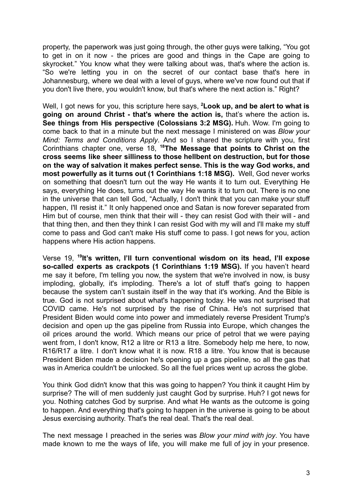property, the paperwork was just going through, the other guys were talking, "You got to get in on it now - the prices are good and things in the Cape are going to skyrocket." You know what they were talking about was, that's where the action is. "So we're letting you in on the secret of our contact base that's here in Johannesburg, where we deal with a level of guys, where we've now found out that if you don't live there, you wouldn't know, but that's where the next action is." Right?

Well, I got news for you, this scripture here says, **<sup>2</sup>Look up, and be alert to what is going on around Christ - that's where the action is,** that's where the action is**. See things from His perspective (Colossians 3:2 MSG).** Huh. Wow. I'm going to come back to that in a minute but the next message I ministered on was *Blow your Mind: Terms and Conditions Apply*. And so I shared the scripture with you, first Corinthians chapter one, verse 18, **<sup>18</sup>The Message that points to Christ on the cross seems like sheer silliness to those hellbent on destruction, but for those on the way of salvation it makes perfect sense. This is the way God works, and most powerfully as it turns out (1 Corinthians 1:18 MSG).** Well, God never works on something that doesn't turn out the way He wants it to turn out. Everything He says, everything He does, turns out the way He wants it to turn out. There is no one in the universe that can tell God, "Actually, I don't think that you can make your stuff happen, I'll resist it." It only happened once and Satan is now forever separated from Him but of course, men think that their will - they can resist God with their will - and that thing then, and then they think I can resist God with my will and I'll make my stuff come to pass and God can't make His stuff come to pass. I got news for you, action happens where His action happens.

Verse 19, **<sup>19</sup> It's written, I'll turn conventional wisdom on its head, I'll expose so-called experts as crackpots (1 Corinthians 1:19 MSG).** If you haven't heard me say it before, I'm telling you now, the system that we're involved in now, is busy imploding, globally, it's imploding. There's a lot of stuff that's going to happen because the system can't sustain itself in the way that it's working. And the Bible is true. God is not surprised about what's happening today. He was not surprised that COVID came. He's not surprised by the rise of China. He's not surprised that President Biden would come into power and immediately reverse President Trump's decision and open up the gas pipeline from Russia into Europe, which changes the oil prices around the world. Which means our price of petrol that we were paying went from, I don't know, R12 a litre or R13 a litre. Somebody help me here, to now, R16/R17 a litre. I don't know what it is now. R18 a litre. You know that is because President Biden made a decision he's opening up a gas pipeline, so all the gas that was in America couldn't be unlocked. So all the fuel prices went up across the globe.

You think God didn't know that this was going to happen? You think it caught Him by surprise? The will of men suddenly just caught God by surprise. Huh? I got news for you. Nothing catches God by surprise. And what He wants as the outcome is going to happen. And everything that's going to happen in the universe is going to be about Jesus exercising authority. That's the real deal. That's the real deal.

The next message I preached in the series was *Blow your mind with joy*. You have made known to me the ways of life, you will make me full of joy in your presence.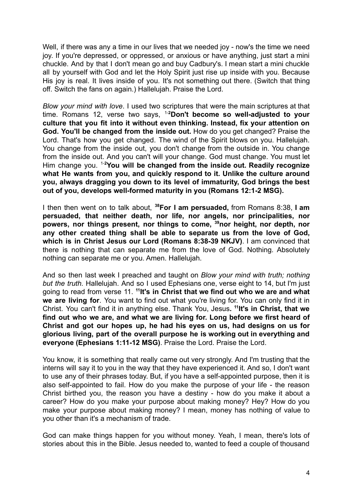Well, if there was any a time in our lives that we needed joy - now's the time we need joy. If you're depressed, or oppressed, or anxious or have anything, just start a mini chuckle. And by that I don't mean go and buy Cadbury's. I mean start a mini chuckle all by yourself with God and let the Holy Spirit just rise up inside with you. Because His joy is real. It lives inside of you. It's not something out there. (Switch that thing off. Switch the fans on again.) Hallelujah. Praise the Lord.

*Blow your mind with love*. I used two scriptures that were the main scriptures at that time. Romans 12, verse two says, 1-**<sup>2</sup>Don't become so well-adjusted to your culture that you fit into it without even thinking. Instead, fix your attention on God. You'll be changed from the inside out.** How do you get changed? Praise the Lord. That's how you get changed. The wind of the Spirit blows on you. Hallelujah. You change from the inside out, you don't change from the outside in. You change from the inside out. And you can't will your change. God must change. You must let Him change you. 1-**<sup>2</sup>You will be changed from the inside out. Readily recognize what He wants from you, and quickly respond to it. Unlike the culture around you, always dragging you down to its level of immaturity, God brings the best out of you, develops well-formed maturity in you (Romans 12:1-2 MSG).**

I then then went on to talk about, **<sup>38</sup>For I am persuaded,** from Romans 8:38, **I am persuaded, that neither death, nor life, nor angels, nor principalities, nor powers, nor things present, nor things to come, <sup>39</sup>nor height, nor depth, nor any other created thing shall be able to separate us from the love of God, which is in Christ Jesus our Lord (Romans 8:38-39 NKJV)**. I am convinced that there is nothing that can separate me from the love of God. Nothing. Absolutely nothing can separate me or you. Amen. Hallelujah.

And so then last week I preached and taught on *Blow your mind with truth; nothing but the truth.* Hallelujah. And so I used Ephesians one, verse eight to 14, but I'm just going to read from verse 11. **<sup>11</sup> It's in Christ that we find out who we are and what we are living for**. You want to find out what you're living for. You can only find it in Christ. You can't find it in anything else. Thank You, Jesus**. 11 It's in Christ, that we find out who we are, and what we are living for. Long before we first heard of Christ and got our hopes up, he had his eyes on us, had designs on us for glorious living, part of the overall purpose he is working out in everything and everyone (Ephesians 1:11-12 MSG)**. Praise the Lord. Praise the Lord.

You know, it is something that really came out very strongly. And I'm trusting that the interns will say it to you in the way that they have experienced it. And so, I don't want to use any of their phrases today. But, if you have a self-appointed purpose, then it is also self-appointed to fail. How do you make the purpose of your life - the reason Christ birthed you, the reason you have a destiny - how do you make it about a career? How do you make your purpose about making money? Hey? How do you make your purpose about making money? I mean, money has nothing of value to you other than it's a mechanism of trade.

God can make things happen for you without money. Yeah, I mean, there's lots of stories about this in the Bible. Jesus needed to, wanted to feed a couple of thousand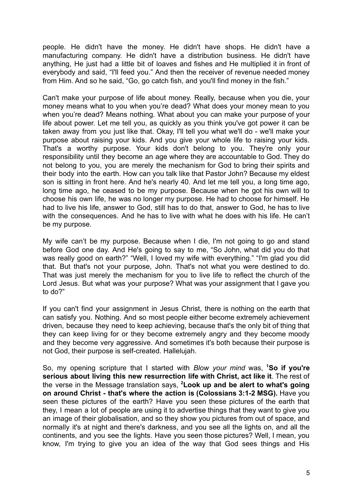people. He didn't have the money. He didn't have shops. He didn't have a manufacturing company. He didn't have a distribution business. He didn't have anything, He just had a little bit of loaves and fishes and He multiplied it in front of everybody and said, "I'll feed you." And then the receiver of revenue needed money from Him. And so he said, "Go, go catch fish, and you'll find money in the fish."

Can't make your purpose of life about money. Really, because when you die, your money means what to you when you're dead? What does your money mean to you when you're dead? Means nothing. What about you can make your purpose of your life about power. Let me tell you, as quickly as you think you've got power it can be taken away from you just like that. Okay, I'll tell you what we'll do - we'll make your purpose about raising your kids. And you give your whole life to raising your kids. That's a worthy purpose. Your kids don't belong to you. They're only your responsibility until they become an age where they are accountable to God. They do not belong to you, you are merely the mechanism for God to bring their spirits and their body into the earth. How can you talk like that Pastor John? Because my eldest son is sitting in front here. And he's nearly 40. And let me tell you, a long time ago, long time ago, he ceased to be my purpose. Because when he got his own will to choose his own life, he was no longer my purpose. He had to choose for himself. He had to live his life, answer to God, still has to do that, answer to God, he has to live with the consequences. And he has to live with what he does with his life. He can't be my purpose.

My wife can't be my purpose. Because when I die, I'm not going to go and stand before God one day. And He's going to say to me, "So John, what did you do that was really good on earth?" "Well, I loved my wife with everything." "I'm glad you did that. But that's not your purpose, John. That's not what you were destined to do. That was just merely the mechanism for you to live life to reflect the church of the Lord Jesus. But what was your purpose? What was your assignment that I gave you to do?"

If you can't find your assignment in Jesus Christ, there is nothing on the earth that can satisfy you. Nothing. And so most people either become extremely achievement driven, because they need to keep achieving, because that's the only bit of thing that they can keep living for or they become extremely angry and they become moody and they become very aggressive. And sometimes it's both because their purpose is not God, their purpose is self-created. Hallelujah.

So, my opening scripture that I started with *Blow your mind* was, **<sup>1</sup>So if you're serious about living this new resurrection life with Christ, act like it**. The rest of the verse in the Message translation says, **<sup>2</sup>Look up and be alert to what's going on around Christ - that's where the action is (Colossians 3:1-2 MSG).** Have you seen these pictures of the earth? Have you seen these pictures of the earth that they, I mean a lot of people are using it to advertise things that they want to give you an image of their globalisation, and so they show you pictures from out of space, and normally it's at night and there's darkness, and you see all the lights on, and all the continents, and you see the lights. Have you seen those pictures? Well, I mean, you know, I'm trying to give you an idea of the way that God sees things and His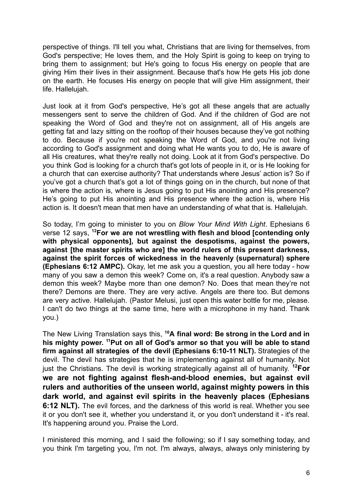perspective of things. I'll tell you what, Christians that are living for themselves, from God's perspective; He loves them, and the Holy Spirit is going to keep on trying to bring them to assignment; but He's going to focus His energy on people that are giving Him their lives in their assignment. Because that's how He gets His job done on the earth. He focuses His energy on people that will give Him assignment, their life. Hallelujah.

Just look at it from God's perspective, He's got all these angels that are actually messengers sent to serve the children of God. And if the children of God are not speaking the Word of God and they're not on assignment, all of His angels are getting fat and lazy sitting on the rooftop of their houses because they've got nothing to do. Because if you're not speaking the Word of God, and you're not living according to God's assignment and doing what He wants you to do, He is aware of all His creatures, what they're really not doing. Look at it from God's perspective. Do you think God is looking for a church that's got lots of people in it, or is He looking for a church that can exercise authority? That understands where Jesus' action is? So if you've got a church that's got a lot of things going on in the church, but none of that is where the action is, where is Jesus going to put His anointing and His presence? He's going to put His anointing and His presence where the action is, where His action is. It doesn't mean that men have an understanding of what that is. Hallelujah.

So today, I'm going to minister to you on *Blow Your Mind With Light*. Ephesians 6 verse 12 says, **<sup>12</sup>For we are not wrestling with flesh and blood [contending only with physical opponents], but against the despotisms, against the powers, against [the master spirits who are] the world rulers of this present darkness, against the spirit forces of wickedness in the heavenly (supernatural) sphere (Ephesians 6:12 AMPC).** Okay, let me ask you a question, you all here today - how many of you saw a demon this week? Come on, it's a real question. Anybody saw a demon this week? Maybe more than one demon? No. Does that mean they're not there? Demons are there. They are very active. Angels are there too. But demons are very active. Hallelujah. (Pastor Melusi, just open this water bottle for me, please. I can't do two things at the same time, here with a microphone in my hand. Thank you.)

The New Living Translation says this, **<sup>10</sup>A final word: Be strong in the Lord and in his mighty power. <sup>11</sup>Put on all of God's armor so that you will be able to stand firm against all strategies of the devil (Ephesians 6:10-11 NLT).** Strategies of the devil. The devil has strategies that he is implementing against all of humanity. Not just the Christians. The devil is working strategically against all of humanity. **<sup>12</sup>For we are not fighting against flesh-and-blood enemies, but against evil rulers and authorities of the unseen world, against mighty powers in this dark world, and against evil spirits in the heavenly places (Ephesians 6:12 NLT).** The evil forces, and the darkness of this world is real. Whether you see it or you don't see it, whether you understand it, or you don't understand it - it's real. It's happening around you. Praise the Lord.

I ministered this morning, and I said the following; so if I say something today, and you think I'm targeting you, I'm not. I'm always, always, always only ministering by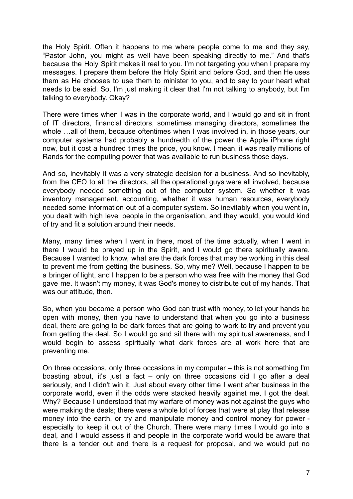the Holy Spirit. Often it happens to me where people come to me and they say, "Pastor John, you might as well have been speaking directly to me." And that's because the Holy Spirit makes it real to you. I'm not targeting you when I prepare my messages. I prepare them before the Holy Spirit and before God, and then He uses them as He chooses to use them to minister to you, and to say to your heart what needs to be said. So, I'm just making it clear that I'm not talking to anybody, but I'm talking to everybody. Okay?

There were times when I was in the corporate world, and I would go and sit in front of IT directors, financial directors, sometimes managing directors, sometimes the whole …all of them, because oftentimes when I was involved in, in those years, our computer systems had probably a hundredth of the power the Apple iPhone right now, but it cost a hundred times the price, you know. I mean, it was really millions of Rands for the computing power that was available to run business those days.

And so, inevitably it was a very strategic decision for a business. And so inevitably, from the CEO to all the directors, all the operational guys were all involved, because everybody needed something out of the computer system. So whether it was inventory management, accounting, whether it was human resources, everybody needed some information out of a computer system. So inevitably when you went in, you dealt with high level people in the organisation, and they would, you would kind of try and fit a solution around their needs.

Many, many times when I went in there, most of the time actually, when I went in there I would be prayed up in the Spirit, and I would go there spiritually aware. Because I wanted to know, what are the dark forces that may be working in this deal to prevent me from getting the business. So, why me? Well, because I happen to be a bringer of light, and I happen to be a person who was free with the money that God gave me. It wasn't my money, it was God's money to distribute out of my hands. That was our attitude, then.

So, when you become a person who God can trust with money, to let your hands be open with money, then you have to understand that when you go into a business deal, there are going to be dark forces that are going to work to try and prevent you from getting the deal. So I would go and sit there with my spiritual awareness, and I would begin to assess spiritually what dark forces are at work here that are preventing me.

On three occasions, only three occasions in my computer – this is not something I'm boasting about, it's just a fact – only on three occasions did I go after a deal seriously, and I didn't win it. Just about every other time I went after business in the corporate world, even if the odds were stacked heavily against me, I got the deal. Why? Because I understood that my warfare of money was not against the guys who were making the deals; there were a whole lot of forces that were at play that release money into the earth, or try and manipulate money and control money for power especially to keep it out of the Church. There were many times I would go into a deal, and I would assess it and people in the corporate world would be aware that there is a tender out and there is a request for proposal, and we would put no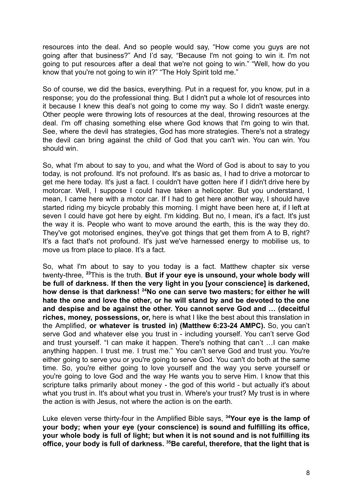resources into the deal. And so people would say, "How come you guys are not going after that business?" And I'd say, "Because I'm not going to win it. I'm not going to put resources after a deal that we're not going to win." "Well, how do you know that you're not going to win it?" "The Holy Spirit told me."

So of course, we did the basics, everything. Put in a request for, you know, put in a response; you do the professional thing. But I didn't put a whole lot of resources into it because I knew this deal's not going to come my way. So I didn't waste energy. Other people were throwing lots of resources at the deal, throwing resources at the deal. I'm off chasing something else where God knows that I'm going to win that. See, where the devil has strategies, God has more strategies. There's not a strategy the devil can bring against the child of God that you can't win. You can win. You should win.

So, what I'm about to say to you, and what the Word of God is about to say to you today, is not profound. It's not profound. It's as basic as, I had to drive a motorcar to get me here today. It's just a fact. I couldn't have gotten here if I didn't drive here by motorcar. Well, I suppose I could have taken a helicopter. But you understand, I mean, I came here with a motor car. If I had to get here another way, I should have started riding my bicycle probably this morning. I might have been here at, if I left at seven I could have got here by eight. I'm kidding. But no, I mean, it's a fact. It's just the way it is. People who want to move around the earth, this is the way they do. They've got motorised engines, they've got things that get them from A to B, right? It's a fact that's not profound. It's just we've harnessed energy to mobilise us, to move us from place to place. It's a fact.

So, what I'm about to say to you today is a fact. Matthew chapter six verse twenty-three, **<sup>23</sup>**This is the truth. **But if your eye is unsound, your whole body will be full of darkness. If then the very light in you [your conscience] is darkened, how dense is that darkness! <sup>24</sup>No one can serve two masters; for either he will hate the one and love the other, or he will stand by and be devoted to the one and despise and be against the other. You cannot serve God and … (deceitful riches, money, possessions, or,** here is what I like the best about this translation in the Amplified, **or whatever is trusted in) (Matthew 6:23-24 AMPC).** So, you can't serve God and whatever else you trust in - including yourself. You can't serve God and trust yourself. "I can make it happen. There's nothing that can't …I can make anything happen. I trust me. I trust me." You can't serve God and trust you. You're either going to serve you or you're going to serve God. You can't do both at the same time. So, you're either going to love yourself and the way you serve yourself or you're going to love God and the way He wants you to serve Him. I know that this scripture talks primarily about money - the god of this world - but actually it's about what you trust in. It's about what you trust in. Where's your trust? My trust is in where the action is with Jesus, not where the action is on the earth.

Luke eleven verse thirty-four in the Amplified Bible says, **<sup>34</sup>Your eye is the lamp of your body; when your eye (your conscience) is sound and fulfilling its office, your whole body is full of light; but when it is not sound and is not fulfilling its office, your body is full of darkness. <sup>35</sup>Be careful, therefore, that the light that is**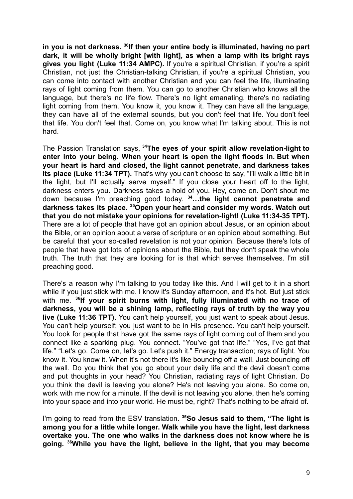**in you is not darkness. <sup>36</sup> If then your entire body is illuminated, having no part dark, it will be wholly bright [with light], as when a lamp with its bright rays gives you light (Luke 11:34 AMPC).** If you're a spiritual Christian, if you're a spirit Christian, not just the Christian-talking Christian, if you're a spiritual Christian, you can come into contact with another Christian and you can feel the life, illuminating rays of light coming from them. You can go to another Christian who knows all the language, but there's no life flow. There's no light emanating, there's no radiating light coming from them. You know it, you know it. They can have all the language, they can have all of the external sounds, but you don't feel that life. You don't feel that life. You don't feel that. Come on, you know what I'm talking about. This is not hard.

The Passion Translation says, **<sup>34</sup>The eyes of your spirit allow revelation-light to enter into your being. When your heart is open the light floods in. But when your heart is hard and closed, the light cannot penetrate, and darkness takes its place (Luke 11:34 TPT).** That's why you can't choose to say, "I'll walk a little bit in the light, but I'll actually serve myself." If you close your heart off to the light, darkness enters you. Darkness takes a hold of you. Hey, come on. Don't shout me down because I'm preaching good today. **<sup>34</sup>…the light cannot penetrate and darkness takes its place. <sup>35</sup>Open your heart and consider my words. Watch out that you do not mistake your opinions for revelation-light! (Luke 11:34-35 TPT).** There are a lot of people that have got an opinion about Jesus, or an opinion about the Bible, or an opinion about a verse of scripture or an opinion about something. But be careful that your so-called revelation is not your opinion. Because there's lots of people that have got lots of opinions about the Bible, but they don't speak the whole truth. The truth that they are looking for is that which serves themselves. I'm still preaching good.

There's a reason why I'm talking to you today like this. And I will get to it in a short while if you just stick with me. I know it's Sunday afternoon, and it's hot. But just stick with me. **<sup>36</sup> If your spirit burns with light, fully illuminated with no trace of darkness, you will be a shining lamp, reflecting rays of truth by the way you live (Luke 11:36 TPT).** You can't help yourself, you just want to speak about Jesus. You can't help yourself; you just want to be in His presence. You can't help yourself. You look for people that have got the same rays of light coming out of them and you connect like a sparking plug. You connect. "You've got that life." "Yes, I've got that life." "Let's go. Come on, let's go. Let's push it." Energy transaction; rays of light. You know it. You know it. When it's not there it's like bouncing off a wall. Just bouncing off the wall. Do you think that you go about your daily life and the devil doesn't come and put thoughts in your head? You Christian, radiating rays of light Christian. Do you think the devil is leaving you alone? He's not leaving you alone. So come on, work with me now for a minute. If the devil is not leaving you alone, then he's coming into your space and into your world. He must be, right? That's nothing to be afraid of.

I'm going to read from the ESV translation. **<sup>35</sup>So Jesus said to them, "The light is among you for a little while longer. Walk while you have the light, lest darkness overtake you. The one who walks in the darkness does not know where he is going. <sup>36</sup>While you have the light, believe in the light, that you may become**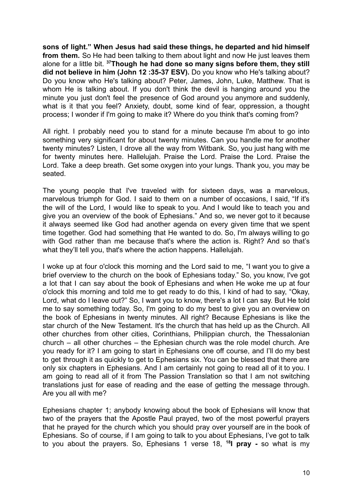**sons of light." When Jesus had said these things, he departed and hid himself from them.** So He had been talking to them about light and now He just leaves them alone for a little bit. **<sup>37</sup>Though he had done so many signs before them, they still did not believe in him (John 12 :35-37 ESV).** Do you know who He's talking about? Do you know who He's talking about? Peter, James, John, Luke, Matthew. That is whom He is talking about. If you don't think the devil is hanging around you the minute you just don't feel the presence of God around you anymore and suddenly, what is it that you feel? Anxiety, doubt, some kind of fear, oppression, a thought process; I wonder if I'm going to make it? Where do you think that's coming from?

All right. I probably need you to stand for a minute because I'm about to go into something very significant for about twenty minutes. Can you handle me for another twenty minutes? Listen, I drove all the way from Witbank. So, you just hang with me for twenty minutes here. Hallelujah. Praise the Lord. Praise the Lord. Praise the Lord. Take a deep breath. Get some oxygen into your lungs. Thank you, you may be seated.

The young people that I've traveled with for sixteen days, was a marvelous, marvelous triumph for God. I said to them on a number of occasions, I said, "If it's the will of the Lord, I would like to speak to you. And I would like to teach you and give you an overview of the book of Ephesians." And so, we never got to it because it always seemed like God had another agenda on every given time that we spent time together. God had something that He wanted to do. So, I'm always willing to go with God rather than me because that's where the action is. Right? And so that's what they'll tell you, that's where the action happens. Hallelujah.

I woke up at four o'clock this morning and the Lord said to me, "I want you to give a brief overview to the church on the book of Ephesians today." So, you know, I've got a lot that I can say about the book of Ephesians and when He woke me up at four o'clock this morning and told me to get ready to do this, I kind of had to say, "Okay, Lord, what do I leave out?" So, I want you to know, there's a lot I can say. But He told me to say something today. So, I'm going to do my best to give you an overview on the book of Ephesians in twenty minutes. All right? Because Ephesians is like the star church of the New Testament. It's the church that has held up as the Church. All other churches from other cities, Corinthians, Philippian church, the Thessalonian church – all other churches – the Ephesian church was the role model church. Are you ready for it? I am going to start in Ephesians one off course, and I'll do my best to get through it as quickly to get to Ephesians six. You can be blessed that there are only six chapters in Ephesians. And I am certainly not going to read all of it to you. I am going to read all of it from The Passion Translation so that I am not switching translations just for ease of reading and the ease of getting the message through. Are you all with me?

Ephesians chapter 1; anybody knowing about the book of Ephesians will know that two of the prayers that the Apostle Paul prayed, two of the most powerful prayers that he prayed for the church which you should pray over yourself are in the book of Ephesians. So of course, if I am going to talk to you about Ephesians, I've got to talk to you about the prayers. So, Ephesians 1 verse 18, **<sup>18</sup> I pray -** so what is my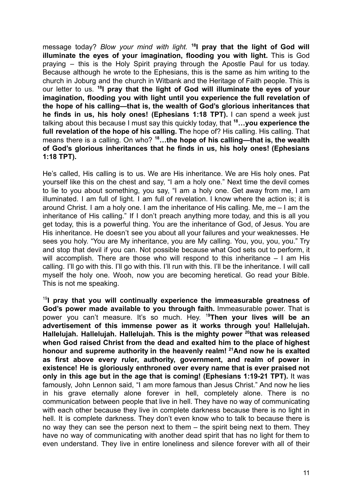message today? *Blow your mind with light.* **<sup>18</sup> I pray that the light of God will illuminate the eyes of your imagination, flooding you with light.** This is God praying – this is the Holy Spirit praying through the Apostle Paul for us today. Because although he wrote to the Ephesians, this is the same as him writing to the church in Joburg and the church in Witbank and the Heritage of Faith people. This is our letter to us. **<sup>18</sup> I pray that the light of God will illuminate the eyes of your imagination, flooding you with light until you experience the full revelation of the hope of his calling—that is, the wealth of God's glorious inheritances that he finds in us, his holy ones! (Ephesians 1:18 TPT).** I can spend a week just talking about this because I must say this quickly today, that **<sup>18</sup>…you experience the full revelation of the hope of his calling. T**he hope of? His calling. His calling. That means there is a calling. On who? **<sup>18</sup>…the hope of his calling—that is, the wealth of God's glorious inheritances that he finds in us, his holy ones! (Ephesians 1:18 TPT).**

He's called, His calling is to us. We are His inheritance. We are His holy ones. Pat yourself like this on the chest and say, "I am a holy one." Next time the devil comes to lie to you about something, you say, "I am a holy one. Get away from me, I am illuminated. I am full of light. I am full of revelation. I know where the action is; it is around Christ. I am a holy one. I am the inheritance of His calling. Me, me – I am the inheritance of His calling." If I don't preach anything more today, and this is all you get today, this is a powerful thing. You are the inheritance of God, of Jesus. You are His inheritance. He doesn't see you about all your failures and your weaknesses. He sees you holy. "You are My inheritance, you are My calling. You, you, you, you." Try and stop that devil if you can. Not possible because what God sets out to perform, it will accomplish. There are those who will respond to this inheritance – I am His calling. I'll go with this. I'll go with this. I'll run with this. I'll be the inheritance. I will call myself the holy one. Wooh, now you are becoming heretical. Go read your Bible. This is not me speaking.

19 **I pray that you will continually experience the immeasurable greatness of God's power made available to you through faith.** Immeasurable power. That is power you can't measure. It's so much. Hey. <sup>1</sup>**<sup>9</sup>Then your lives will be an advertisement of this immense power as it works through you! Hallelujah. Hallelujah. Hallelujah. Hallelujah. This is the mighty power <sup>20</sup> that was released when God raised Christ from the dead and exalted him to the place of highest honour and supreme authority in the heavenly realm! <sup>21</sup>And now he is exalted as first above every ruler, authority, government, and realm of power in existence! He is gloriously enthroned over every name that is ever praised not only in this age but in the age that is coming! (Ephesians 1:19-21 TPT).** It was famously, John Lennon said, "I am more famous than Jesus Christ." And now he lies in his grave eternally alone forever in hell, completely alone. There is no communication between people that live in hell. They have no way of communicating with each other because they live in complete darkness because there is no light in hell. It is complete darkness. They don't even know who to talk to because there is no way they can see the person next to them – the spirit being next to them. They have no way of communicating with another dead spirit that has no light for them to even understand. They live in entire loneliness and silence forever with all of their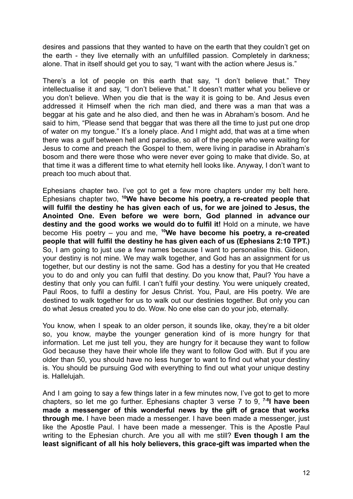desires and passions that they wanted to have on the earth that they couldn't get on the earth - they live eternally with an unfulfilled passion. Completely in darkness; alone. That in itself should get you to say, "I want with the action where Jesus is."

There's a lot of people on this earth that say, "I don't believe that." They intellectualise it and say, "I don't believe that." It doesn't matter what you believe or you don't believe. When you die that is the way it is going to be. And Jesus even addressed it Himself when the rich man died, and there was a man that was a beggar at his gate and he also died, and then he was in Abraham's bosom. And he said to him. "Please send that beggar that was there all the time to just put one drop of water on my tongue." It's a lonely place. And I might add, that was at a time when there was a gulf between hell and paradise, so all of the people who were waiting for Jesus to come and preach the Gospel to them, were living in paradise in Abraham's bosom and there were those who were never ever going to make that divide. So, at that time it was a different time to what eternity hell looks like. Anyway, I don't want to preach too much about that.

Ephesians chapter two. I've got to get a few more chapters under my belt here. Ephesians chapter two, **<sup>10</sup>We have become his poetry, a re-created people that will fulfil the destiny he has given each of us, for we are joined to Jesus, the Anointed One. Even before we were born, God planned in advance our destiny and the good works we would do to fulfil it!** Hold on a minute, we have become His poetry – you and me, **<sup>10</sup>We have become his poetry, a re-created people that will fulfil the destiny he has given each of us (Ephesians 2:10 TPT.)** So, I am going to just use a few names because I want to personalise this. Gideon, your destiny is not mine. We may walk together, and God has an assignment for us together, but our destiny is not the same. God has a destiny for you that He created you to do and only you can fulfil that destiny. Do you know that, Paul? You have a destiny that only you can fulfil. I can't fulfil your destiny. You were uniquely created, Paul Roos, to fulfil a destiny for Jesus Christ. You, Paul, are His poetry. We are destined to walk together for us to walk out our destinies together. But only you can do what Jesus created you to do. Wow. No one else can do your job, eternally.

You know, when I speak to an older person, it sounds like, okay, they're a bit older so, you know, maybe the younger generation kind of is more hungry for that information. Let me just tell you, they are hungry for it because they want to follow God because they have their whole life they want to follow God with. But if you are older than 50, you should have no less hunger to want to find out what your destiny is. You should be pursuing God with everything to find out what your unique destiny is. Hallelujah.

And I am going to say a few things later in a few minutes now, I've got to get to more chapters, so let me go further. Ephesians chapter 3 verse 7 to 9, **7-8 I have been made a messenger of this wonderful news by the gift of grace that works through me.** I have been made a messenger. I have been made a messenger, just like the Apostle Paul. I have been made a messenger. This is the Apostle Paul writing to the Ephesian church. Are you all with me still? **Even though I am the least significant of all his holy believers, this grace-gift was imparted when the**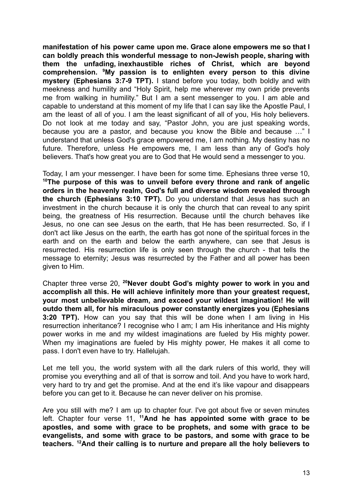**manifestation of his power came upon me. Grace alone empowers me so that I can boldly preach this wonderful message to non-Jewish people, sharing with them the unfading, inexhaustible riches of Christ, which are beyond comprehension. <sup>9</sup>My passion is to enlighten every person to this divine mystery (Ephesians 3:7-9 TPT).** I stand before you today, both boldly and with meekness and humility and "Holy Spirit, help me wherever my own pride prevents me from walking in humility." But I am a sent messenger to you. I am able and capable to understand at this moment of my life that I can say like the Apostle Paul, I am the least of all of you. I am the least significant of all of you, His holy believers. Do not look at me today and say, "Pastor John, you are just speaking words, because you are a pastor, and because you know the Bible and because …" I understand that unless God's grace empowered me, I am nothing. My destiny has no future. Therefore, unless He empowers me, I am less than any of God's holy believers. That's how great you are to God that He would send a messenger to you.

Today, I am your messenger. I have been for some time. Ephesians three verse 10, **<sup>10</sup>The purpose of this was to unveil before every throne and rank of angelic orders in the heavenly realm, God's full and diverse wisdom revealed through the church (Ephesians 3:10 TPT).** Do you understand that Jesus has such an investment in the church because it is only the church that can reveal to any spirit being, the greatness of His resurrection. Because until the church behaves like Jesus, no one can see Jesus on the earth, that He has been resurrected. So, if I don't act like Jesus on the earth, the earth has got none of the spiritual forces in the earth and on the earth and below the earth anywhere, can see that Jesus is resurrected. His resurrection life is only seen through the church - that tells the message to eternity; Jesus was resurrected by the Father and all power has been given to Him.

Chapter three verse 20, **<sup>20</sup>Never doubt God's mighty power to work in you and accomplish all this. He will achieve infinitely more than your greatest request, your most unbelievable dream, and exceed your wildest imagination! He will outdo them all, for his miraculous power constantly energizes you (Ephesians 3:20 TPT).** How can you say that this will be done when I am living in His resurrection inheritance? I recognise who I am; I am His inheritance and His mighty power works in me and my wildest imaginations are fueled by His mighty power. When my imaginations are fueled by His mighty power, He makes it all come to pass. I don't even have to try. Hallelujah.

Let me tell you, the world system with all the dark rulers of this world, they will promise you everything and all of that is sorrow and toil. And you have to work hard, very hard to try and get the promise. And at the end it's like vapour and disappears before you can get to it. Because he can never deliver on his promise.

Are you still with me? I am up to chapter four. I've got about five or seven minutes left. Chapter four verse 11, **<sup>11</sup>And he has appointed some with grace to be apostles, and some with grace to be prophets, and some with grace to be evangelists, and some with grace to be pastors, and some with grace to be teachers. <sup>12</sup>And their calling is to nurture and prepare all the holy believers to**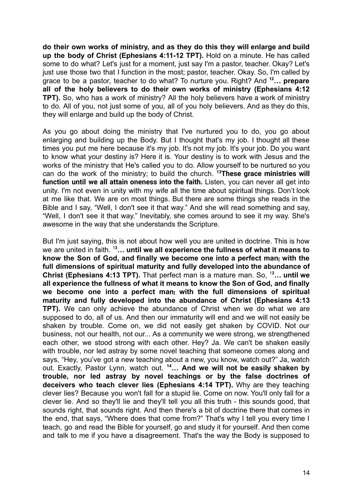**do their own works of ministry, and as they do this they will enlarge and build up the body of Christ (Ephesians 4:11-12 TPT).** Hold on a minute. He has called some to do what? Let's just for a moment, just say I'm a pastor, teacher. Okay? Let's just use those two that I function in the most; pastor, teacher. Okay. So, I'm called by grace to be a pastor, teacher to do what? To nurture you. Right? And **<sup>12</sup>… prepare all of the holy believers to do their own works of ministry (Ephesians 4:12 TPT).** So, who has a work of ministry? All the holy believers have a work of ministry to do. All of you, not just some of you, all of you holy believers. And as they do this, they will enlarge and build up the body of Christ.

As you go about doing the ministry that I've nurtured you to do, you go about enlarging and building up the Body. But I thought that's my job. I thought all these times you put me here because it's my job. It's not my job. It's your job. Do you want to know what your destiny is? Here it is. Your destiny is to work with Jesus and the works of the ministry that He's called you to do. Allow yourself to be nurtured so you can do the work of the ministry; to build the church. **<sup>13</sup>These grace ministries will function until we all attain oneness into the faith.** Listen, you can never all get into unity. I'm not even in unity with my wife all the time about spiritual things. Don't look at me like that. We are on most things. But there are some things she reads in the Bible and I say, "Well, I don't see it that way." And she will read something and say, "Well, I don't see it that way." Inevitably, she comes around to see it my way. She's awesome in the way that she understands the Scripture.

But I'm just saying, this is not about how well you are united in doctrine. This is how we are united in faith. <sup>1</sup>**<sup>3</sup>… until we all experience the fullness of what it means to know the Son of God, and finally we become one into a perfect man[ with the full dimensions of spiritual maturity and fully developed into the abundance of Christ (Ephesians 4:13 TPT).** That perfect man is a mature man. So, <sup>1</sup>**<sup>3</sup>… until we all experience the fullness of what it means to know the Son of God, and finally we become one into a perfect man[ with the full dimensions of spiritual maturity and fully developed into the abundance of Christ (Ephesians 4:13 TPT).** We can only achieve the abundance of Christ when we do what we are supposed to do, all of us. And then our immaturity will end and we will not easily be shaken by trouble. Come on, we did not easily get shaken by COVID. Not our business, not our health, not our... As a community we were strong, we strengthened each other, we stood strong with each other. Hey? Ja. We can't be shaken easily with trouble, nor led astray by some novel teaching that someone comes along and says, "Hey, you've got a new teaching about a new, you know, watch out?" Ja, watch out. Exactly, Pastor Lynn, watch out. **<sup>14</sup>… And we will not be easily shaken by trouble, nor led astray by novel teachings or by the false doctrines of deceivers who teach clever lies (Ephesians 4:14 TPT).** Why are they teaching clever lies? Because you won't fall for a stupid lie. Come on now. You'll only fall for a clever lie. And so they'll lie and they'll tell you all this truth - this sounds good, that sounds right, that sounds right. And then there's a bit of doctrine there that comes in the end, that says, "Where does that come from?" That's why I tell you every time I teach, go and read the Bible for yourself, go and study it for yourself. And then come and talk to me if you have a disagreement. That's the way the Body is supposed to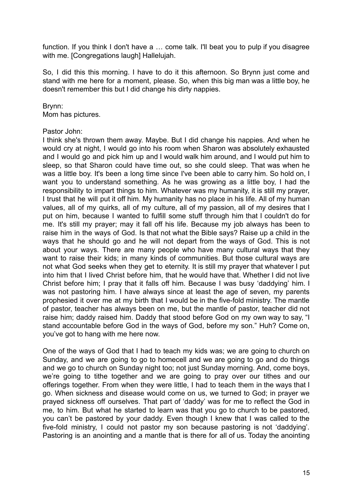function. If you think I don't have a ... come talk. I'll beat you to pulp if you disagree with me. [Congregations laugh] Hallelujah.

So, I did this this morning. I have to do it this afternoon. So Brynn just come and stand with me here for a moment, please. So, when this big man was a little boy, he doesn't remember this but I did change his dirty nappies.

## Brynn:

Mom has pictures.

## Pastor John:

I think she's thrown them away. Maybe. But I did change his nappies. And when he would cry at night, I would go into his room when Sharon was absolutely exhausted and I would go and pick him up and I would walk him around, and I would put him to sleep, so that Sharon could have time out, so she could sleep. That was when he was a little boy. It's been a long time since I've been able to carry him. So hold on, I want you to understand something. As he was growing as a little boy, I had the responsibility to impart things to him. Whatever was my humanity, it is still my prayer, I trust that he will put it off him. My humanity has no place in his life. All of my human values, all of my quirks, all of my culture, all of my passion, all of my desires that I put on him, because I wanted to fulfill some stuff through him that I couldn't do for me. It's still my prayer; may it fall off his life. Because my job always has been to raise him in the ways of God. Is that not what the Bible says? Raise up a child in the ways that he should go and he will not depart from the ways of God. This is not about your ways. There are many people who have many cultural ways that they want to raise their kids; in many kinds of communities. But those cultural ways are not what God seeks when they get to eternity. It is still my prayer that whatever I put into him that I lived Christ before him, that he would have that. Whether I did not live Christ before him; I pray that it falls off him. Because I was busy 'daddying' him. I was not pastoring him. I have always since at least the age of seven, my parents prophesied it over me at my birth that I would be in the five-fold ministry. The mantle of pastor, teacher has always been on me, but the mantle of pastor, teacher did not raise him; daddy raised him. Daddy that stood before God on my own way to say, "I stand accountable before God in the ways of God, before my son." Huh? Come on, you've got to hang with me here now.

One of the ways of God that I had to teach my kids was; we are going to church on Sunday, and we are going to go to homecell and we are going to go and do things and we go to church on Sunday night too; not just Sunday morning. And, come boys, we're going to tithe together and we are going to pray over our tithes and our offerings together. From when they were little, I had to teach them in the ways that I go. When sickness and disease would come on us, we turned to God; in prayer we prayed sickness off ourselves. That part of 'daddy' was for me to reflect the God in me, to him. But what he started to learn was that you go to church to be pastored, you can't be pastored by your daddy. Even though I knew that I was called to the five-fold ministry, I could not pastor my son because pastoring is not 'daddying'. Pastoring is an anointing and a mantle that is there for all of us. Today the anointing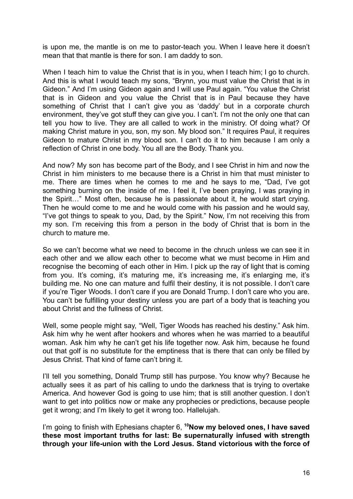is upon me, the mantle is on me to pastor-teach you. When I leave here it doesn't mean that that mantle is there for son. I am daddy to son.

When I teach him to value the Christ that is in you, when I teach him; I go to church. And this is what I would teach my sons, "Brynn, you must value the Christ that is in Gideon." And I'm using Gideon again and I will use Paul again. "You value the Christ that is in Gideon and you value the Christ that is in Paul because they have something of Christ that I can't give you as 'daddy' but in a corporate church environment, they've got stuff they can give you. I can't. I'm not the only one that can tell you how to live. They are all called to work in the ministry. Of doing what? Of making Christ mature in you, son, my son. My blood son." It requires Paul, it requires Gideon to mature Christ in my blood son. I can't do it to him because I am only a reflection of Christ in one body. You all are the Body. Thank you.

And now? My son has become part of the Body, and I see Christ in him and now the Christ in him ministers to me because there is a Christ in him that must minister to me. There are times when he comes to me and he says to me, "Dad, I've got something burning on the inside of me. I feel it, I've been praying, I was praying in the Spirit…" Most often, because he is passionate about it, he would start crying. Then he would come to me and he would come with his passion and he would say, "I've got things to speak to you, Dad, by the Spirit." Now, I'm not receiving this from my son. I'm receiving this from a person in the body of Christ that is born in the church to mature me.

So we can't become what we need to become in the chruch unless we can see it in each other and we allow each other to become what we must become in Him and recognise the becoming of each other in Him. I pick up the ray of light that is coming from you. It's coming, it's maturing me, it's increasing me, it's enlarging me, it's building me. No one can mature and fulfil their destiny, it is not possible. I don't care if you're Tiger Woods. I don't care if you are Donald Trump. I don't care who you are. You can't be fulfilling your destiny unless you are part of a body that is teaching you about Christ and the fullness of Christ.

Well, some people might say, "Well, Tiger Woods has reached his destiny." Ask him. Ask him why he went after hookers and whores when he was married to a beautiful woman. Ask him why he can't get his life together now. Ask him, because he found out that golf is no substitute for the emptiness that is there that can only be filled by Jesus Christ. That kind of fame can't bring it.

I'll tell you something, Donald Trump still has purpose. You know why? Because he actually sees it as part of his calling to undo the darkness that is trying to overtake America. And however God is going to use him; that is still another question. I don't want to get into politics now or make any prophecies or predictions, because people get it wrong; and I'm likely to get it wrong too. Hallelujah.

I'm going to finish with Ephesians chapter 6, **<sup>10</sup>Now my beloved ones, I have saved these most important truths for last: Be supernaturally infused with strength through your life-union with the Lord Jesus. Stand victorious with the force of**